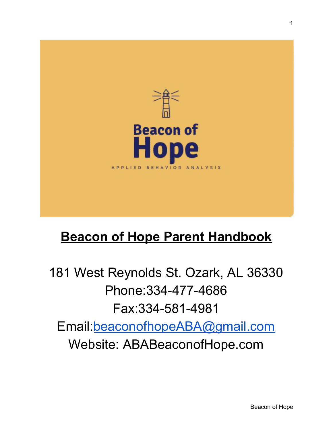

## **Beacon of Hope Parent Handbook**

181 West Reynolds St. Ozark, AL 36330 Phone:334-477-4686 Fax:334-581-4981 Email:[beaconofhopeABA@gmail.com](mailto:beaconofhope@gmail.com) Website: ABABeaconofHope.com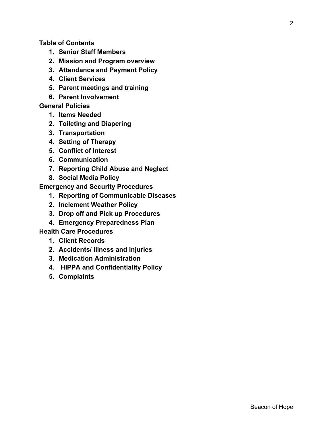#### **Table of Contents**

- **1. Senior Staff Members**
- **2. Mission and Program overview**
- **3. Attendance and Payment Policy**
- **4. Client Services**
- **5. Parent meetings and training**
- **6. Parent Involvement**

## **General Policies**

- **1. Items Needed**
- **2. Toileting and Diapering**
- **3. Transportation**
- **4. Setting of Therapy**
- **5. Conflict of Interest**
- **6. Communication**
- **7. Reporting Child Abuse and Neglect**
- **8. Social Media Policy**

**Emergency and Security Procedures**

- **1. Reporting of Communicable Diseases**
- **2. Inclement Weather Policy**
- **3. Drop off and Pick up Procedures**
- **4. Emergency Preparedness Plan**

## **Health Care Procedures**

- **1. Client Records**
- **2. Accidents/ illness and injuries**
- **3. Medication Administration**
- **4. HIPPA and Confidentiality Policy**
- **5. Complaints**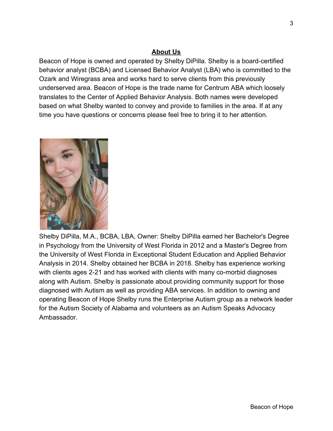## **About Us**

Beacon of Hope is owned and operated by Shelby DiPilla. Shelby is a board-certified behavior analyst (BCBA) and Licensed Behavior Analyst (LBA) who is committed to the Ozark and Wiregrass area and works hard to serve clients from this previously underserved area. Beacon of Hope is the trade name for Centrum ABA which loosely translates to the Center of Applied Behavior Analysis. Both names were developed based on what Shelby wanted to convey and provide to families in the area. If at any time you have questions or concerns please feel free to bring it to her attention.



Shelby DiPilla, M.A., BCBA, LBA, Owner: Shelby DiPilla earned her Bachelor's Degree in Psychology from the University of West Florida in 2012 and a Master's Degree from the University of West Florida in Exceptional Student Education and Applied Behavior Analysis in 2014. Shelby obtained her BCBA in 2018. Shelby has experience working with clients ages 2-21 and has worked with clients with many co-morbid diagnoses along with Autism. Shelby is passionate about providing community support for those diagnosed with Autism as well as providing ABA services. In addition to owning and operating Beacon of Hope Shelby runs the Enterprise Autism group as a network leader for the Autism Society of Alabama and volunteers as an Autism Speaks Advocacy Ambassador.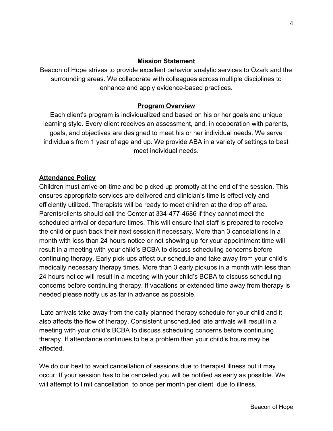#### **Mission Statement**

Beacon of Hope strives to provide excellent behavior analytic services to Ozark and the surrounding areas. We collaborate with colleagues across multiple disciplines to enhance and apply evidence-based practices.

#### **Program Overview**

Each client's program is individualized and based on his or her goals and unique learning style. Every client receives an assessment, and, in cooperation with parents, goals, and objectives are designed to meet his or her individual needs. We serve individuals from 1 year of age and up. We provide ABA in a variety of settings to best meet individual needs.

## **Attendance Policy**

Children must arrive on-time and be picked up promptly at the end of the session. This ensures appropriate services are delivered and clinician's time is effectively and efficiently utilized. Therapists will be ready to meet children at the drop off area. Parents/clients should call the Center at 334-477-4686 if they cannot meet the scheduled arrival or departure times. This will ensure that staff is prepared to receive the child or push back their next session if necessary. More than 3 cancelations in a month with less than 24 hours notice or not showing up for your appointment time will result in a meeting with your child's BCBA to discuss scheduling concerns before continuing therapy. Early pick-ups affect our schedule and take away from your child's medically necessary therapy times. More than 3 early pickups in a month with less than 24 hours notice will result in a meeting with your child's BCBA to discuss scheduling concerns before continuing therapy. If vacations or extended time away from therapy is needed please notify us as far in advance as possible.

 Late arrivals take away from the daily planned therapy schedule for your child and it also affects the flow of therapy. Consistent unscheduled late arrivals will result in a meeting with your child's BCBA to discuss scheduling concerns before continuing therapy. If attendance continues to be a problem than your child's hours may be affected.

We do our best to avoid cancellation of sessions due to therapist illness but it may occur. If your session has to be canceled you will be notified as early as possible. We will attempt to limit cancellation to once per month per client due to illness.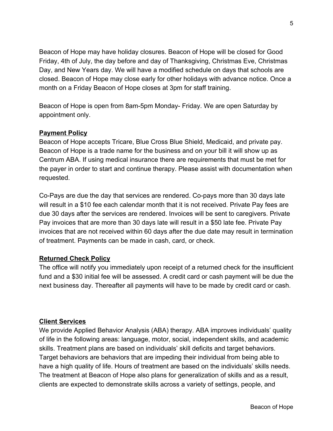Beacon of Hope may have holiday closures. Beacon of Hope will be closed for Good Friday, 4th of July, the day before and day of Thanksgiving, Christmas Eve, Christmas Day, and New Years day. We will have a modified schedule on days that schools are closed. Beacon of Hope may close early for other holidays with advance notice. Once a month on a Friday Beacon of Hope closes at 3pm for staff training.

Beacon of Hope is open from 8am-5pm Monday- Friday. We are open Saturday by appointment only.

#### **Payment Policy**

Beacon of Hope accepts Tricare, Blue Cross Blue Shield, Medicaid, and private pay. Beacon of Hope is a trade name for the business and on your bill it will show up as Centrum ABA. If using medical insurance there are requirements that must be met for the payer in order to start and continue therapy. Please assist with documentation when requested.

Co-Pays are due the day that services are rendered. Co-pays more than 30 days late will result in a \$10 fee each calendar month that it is not received. Private Pay fees are due 30 days after the services are rendered. Invoices will be sent to caregivers. Private Pay invoices that are more than 30 days late will result in a \$50 late fee. Private Pay invoices that are not received within 60 days after the due date may result in termination of treatment. Payments can be made in cash, card, or check.

#### **Returned Check Policy**

The office will notify you immediately upon receipt of a returned check for the insufficient fund and a \$30 initial fee will be assessed. A credit card or cash payment will be due the next business day. Thereafter all payments will have to be made by credit card or cash.

#### **Client Services**

We provide Applied Behavior Analysis (ABA) therapy. ABA improves individuals' quality of life in the following areas: language, motor, social, independent skills, and academic skills. Treatment plans are based on individuals' skill deficits and target behaviors. Target behaviors are behaviors that are impeding their individual from being able to have a high quality of life. Hours of treatment are based on the individuals' skills needs. The treatment at Beacon of Hope also plans for generalization of skills and as a result, clients are expected to demonstrate skills across a variety of settings, people, and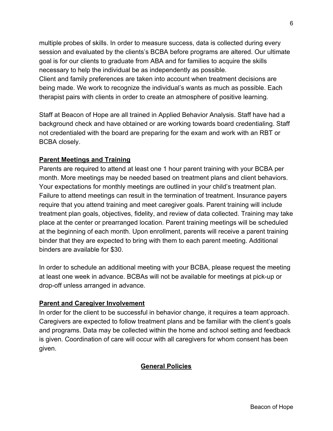multiple probes of skills. In order to measure success, data is collected during every session and evaluated by the clients's BCBA before programs are altered. Our ultimate goal is for our clients to graduate from ABA and for families to acquire the skills necessary to help the individual be as independently as possible. Client and family preferences are taken into account when treatment decisions are being made. We work to recognize the individual's wants as much as possible. Each therapist pairs with clients in order to create an atmosphere of positive learning.

Staff at Beacon of Hope are all trained in Applied Behavior Analysis. Staff have had a background check and have obtained or are working towards board credentialing. Staff not credentialed with the board are preparing for the exam and work with an RBT or BCBA closely.

## **Parent Meetings and Training**

Parents are required to attend at least one 1 hour parent training with your BCBA per month. More meetings may be needed based on treatment plans and client behaviors. Your expectations for monthly meetings are outlined in your child's treatment plan. Failure to attend meetings can result in the termination of treatment. Insurance payers require that you attend training and meet caregiver goals. Parent training will include treatment plan goals, objectives, fidelity, and review of data collected. Training may take place at the center or prearranged location. Parent training meetings will be scheduled at the beginning of each month. Upon enrollment, parents will receive a parent training binder that they are expected to bring with them to each parent meeting. Additional binders are available for \$30.

In order to schedule an additional meeting with your BCBA, please request the meeting at least one week in advance. BCBAs will not be available for meetings at pick-up or drop-off unless arranged in advance.

#### **Parent and Caregiver Involvement**

In order for the client to be successful in behavior change, it requires a team approach. Caregivers are expected to follow treatment plans and be familiar with the client's goals and programs. Data may be collected within the home and school setting and feedback is given. Coordination of care will occur with all caregivers for whom consent has been given.

## **General Policies**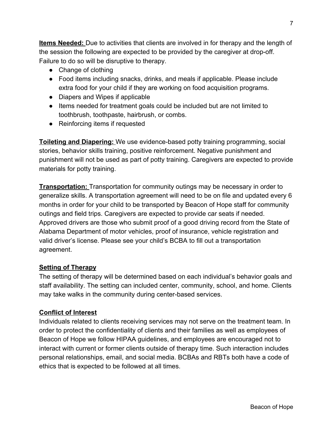**Items Needed:** Due to activities that clients are involved in for therapy and the length of the session the following are expected to be provided by the caregiver at drop-off. Failure to do so will be disruptive to therapy.

- Change of clothing
- Food items including snacks, drinks, and meals if applicable. Please include extra food for your child if they are working on food acquisition programs.
- Diapers and Wipes if applicable
- Items needed for treatment goals could be included but are not limited to toothbrush, toothpaste, hairbrush, or combs.
- Reinforcing items if requested

**Toileting and Diapering:** We use evidence-based potty training programming, social stories, behavior skills training, positive reinforcement. Negative punishment and punishment will not be used as part of potty training. Caregivers are expected to provide materials for potty training.

**Transportation:** Transportation for community outings may be necessary in order to generalize skills. A transportation agreement will need to be on file and updated every 6 months in order for your child to be transported by Beacon of Hope staff for community outings and field trips. Caregivers are expected to provide car seats if needed. Approved drivers are those who submit proof of a good driving record from the State of Alabama Department of motor vehicles, proof of insurance, vehicle registration and valid driver's license. Please see your child's BCBA to fill out a transportation agreement.

## **Setting of Therapy**

The setting of therapy will be determined based on each individual's behavior goals and staff availability. The setting can included center, community, school, and home. Clients may take walks in the community during center-based services.

## **Conflict of Interest**

Individuals related to clients receiving services may not serve on the treatment team. In order to protect the confidentiality of clients and their families as well as employees of Beacon of Hope we follow HIPAA guidelines, and employees are encouraged not to interact with current or former clients outside of therapy time. Such interaction includes personal relationships, email, and social media. BCBAs and RBTs both have a code of ethics that is expected to be followed at all times.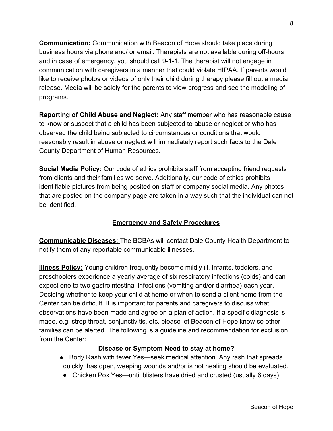**Communication:** Communication with Beacon of Hope should take place during business hours via phone and/ or email. Therapists are not available during off-hours and in case of emergency, you should call 9-1-1. The therapist will not engage in communication with caregivers in a manner that could violate HIPAA. If parents would like to receive photos or videos of only their child during therapy please fill out a media release. Media will be solely for the parents to view progress and see the modeling of programs.

**Reporting of Child Abuse and Neglect:** Any staff member who has reasonable cause to know or suspect that a child has been subjected to abuse or neglect or who has observed the child being subjected to circumstances or conditions that would reasonably result in abuse or neglect will immediately report such facts to the Dale County Department of Human Resources.

**Social Media Policy:** Our code of ethics prohibits staff from accepting friend requests from clients and their families we serve. Additionally, our code of ethics prohibits identifiable pictures from being posited on staff or company social media. Any photos that are posted on the company page are taken in a way such that the individual can not be identified.

## **Emergency and Safety Procedures**

**Communicable Diseases:** The BCBAs will contact Dale County Health Department to notify them of any reportable communicable illnesses.

**Illness Policy:** Young children frequently become mildly ill. Infants, toddlers, and preschoolers experience a yearly average of six respiratory infections (colds) and can expect one to two gastrointestinal infections (vomiting and/or diarrhea) each year. Deciding whether to keep your child at home or when to send a client home from the Center can be difficult. It is important for parents and caregivers to discuss what observations have been made and agree on a plan of action. If a specific diagnosis is made, e.g. strep throat, conjunctivitis, etc. please let Beacon of Hope know so other families can be alerted. The following is a guideline and recommendation for exclusion from the Center:

## **Disease or Symptom Need to stay at home?**

- Body Rash with fever Yes—seek medical attention. Any rash that spreads quickly, has open, weeping wounds and/or is not healing should be evaluated.
- Chicken Pox Yes—until blisters have dried and crusted (usually 6 days)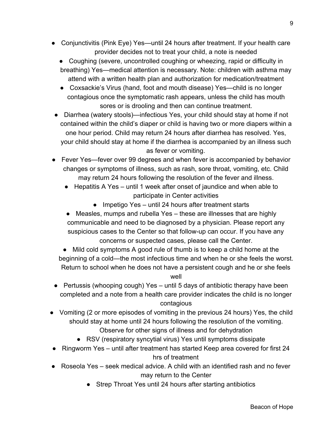- Conjunctivitis (Pink Eye) Yes—until 24 hours after treatment. If your health care provider decides not to treat your child, a note is needed
	- Coughing (severe, uncontrolled coughing or wheezing, rapid or difficulty in breathing) Yes—medical attention is necessary. Note: children with asthma may attend with a written health plan and authorization for medication/treatment
	- Coxsackie's Virus (hand, foot and mouth disease) Yes—child is no longer contagious once the symptomatic rash appears, unless the child has mouth sores or is drooling and then can continue treatment.
- Diarrhea (watery stools)—infectious Yes, your child should stay at home if not contained within the child's diaper or child is having two or more diapers within a one hour period. Child may return 24 hours after diarrhea has resolved. Yes, your child should stay at home if the diarrhea is accompanied by an illness such as fever or vomiting.
- Fever Yes—fever over 99 degrees and when fever is accompanied by behavior changes or symptoms of illness, such as rash, sore throat, vomiting, etc. Child may return 24 hours following the resolution of the fever and illness.
	- Hepatitis A Yes until 1 week after onset of jaundice and when able to participate in Center activities
		- Impetigo Yes until 24 hours after treatment starts
	- Measles, mumps and rubella Yes these are illnesses that are highly communicable and need to be diagnosed by a physician. Please report any suspicious cases to the Center so that follow-up can occur. If you have any concerns or suspected cases, please call the Center.
	- Mild cold symptoms A good rule of thumb is to keep a child home at the beginning of a cold—the most infectious time and when he or she feels the worst. Return to school when he does not have a persistent cough and he or she feels

## well

- Pertussis (whooping cough) Yes until 5 days of antibiotic therapy have been completed and a note from a health care provider indicates the child is no longer contagious
- Vomiting (2 or more episodes of vomiting in the previous 24 hours) Yes, the child should stay at home until 24 hours following the resolution of the vomiting. Observe for other signs of illness and for dehydration
	- RSV (respiratory syncytial virus) Yes until symptoms dissipate
- Ringworm Yes until after treatment has started Keep area covered for first 24 hrs of treatment
- Roseola Yes seek medical advice. A child with an identified rash and no fever may return to the Center
	- Strep Throat Yes until 24 hours after starting antibiotics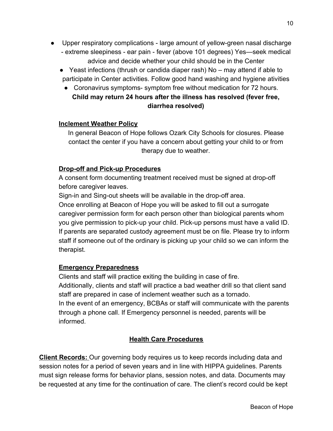- Upper respiratory complications large amount of yellow-green nasal discharge
	- extreme sleepiness ear pain fever (above 101 degrees) Yes—seek medical advice and decide whether your child should be in the Center
	- Yeast infections (thrush or candida diaper rash) No may attend if able to participate in Center activities. Follow good hand washing and hygiene ativities
		- Coronavirus symptoms- symptom free without medication for 72 hours. **Child may return 24 hours after the illness has resolved (fever free, diarrhea resolved)**

## **Inclement Weather Policy**

In general Beacon of Hope follows Ozark City Schools for closures. Please contact the center if you have a concern about getting your child to or from therapy due to weather.

## **Drop-off and Pick-up Procedures**

A consent form documenting treatment received must be signed at drop-off before caregiver leaves.

Sign-in and Sing-out sheets will be available in the drop-off area.

Once enrolling at Beacon of Hope you will be asked to fill out a surrogate caregiver permission form for each person other than biological parents whom you give permission to pick-up your child. Pick-up persons must have a valid ID. If parents are separated custody agreement must be on file. Please try to inform staff if someone out of the ordinary is picking up your child so we can inform the therapist.

## **Emergency Preparedness**

Clients and staff will practice exiting the building in case of fire. Additionally, clients and staff will practice a bad weather drill so that client sand staff are prepared in case of inclement weather such as a tornado. In the event of an emergency, BCBAs or staff will communicate with the parents through a phone call. If Emergency personnel is needed, parents will be informed.

## **Health Care Procedures**

**Client Records:** Our governing body requires us to keep records including data and session notes for a period of seven years and in line with HIPPA guidelines. Parents must sign release forms for behavior plans, session notes, and data. Documents may be requested at any time for the continuation of care. The client's record could be kept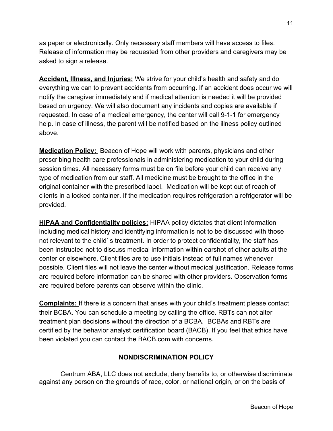as paper or electronically. Only necessary staff members will have access to files. Release of information may be requested from other providers and caregivers may be asked to sign a release.

**Accident, Illness, and Injuries:** We strive for your child's health and safety and do everything we can to prevent accidents from occurring. If an accident does occur we will notify the caregiver immediately and if medical attention is needed it will be provided based on urgency. We will also document any incidents and copies are available if requested. In case of a medical emergency, the center will call 9-1-1 for emergency help. In case of illness, the parent will be notified based on the illness policy outlined above.

**Medication Policy:** Beacon of Hope will work with parents, physicians and other prescribing health care professionals in administering medication to your child during session times. All necessary forms must be on file before your child can receive any type of medication from our staff. All medicine must be brought to the office in the original container with the prescribed label. Medication will be kept out of reach of clients in a locked container. If the medication requires refrigeration a refrigerator will be provided.

**HIPAA and Confidentiality policies:** HIPAA policy dictates that client information including medical history and identifying information is not to be discussed with those not relevant to the child' s treatment. In order to protect confidentiality, the staff has been instructed not to discuss medical information within earshot of other adults at the center or elsewhere. Client files are to use initials instead of full names whenever possible. Client files will not leave the center without medical justification. Release forms are required before information can be shared with other providers. Observation forms are required before parents can observe within the clinic.

**Complaints:** If there is a concern that arises with your child's treatment please contact their BCBA. You can schedule a meeting by calling the office. RBTs can not alter treatment plan decisions without the direction of a BCBA. BCBAs and RBTs are certified by the behavior analyst certification board (BACB). If you feel that ethics have been violated you can contact the BACB.com with concerns.

## **NONDISCRIMINATION POLICY**

 Centrum ABA, LLC does not exclude, deny benefits to, or otherwise discriminate against any person on the grounds of race, color, or national origin, or on the basis of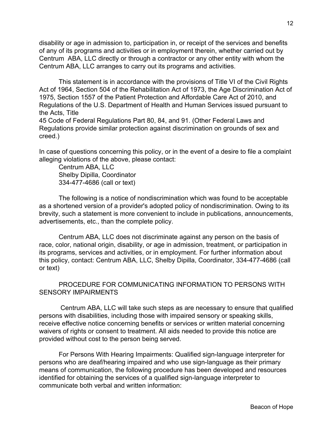disability or age in admission to, participation in, or receipt of the services and benefits of any of its programs and activities or in employment therein, whether carried out by Centrum ABA, LLC directly or through a contractor or any other entity with whom the Centrum ABA, LLC arranges to carry out its programs and activities.

This statement is in accordance with the provisions of Title VI of the Civil Rights Act of 1964, Section 504 of the Rehabilitation Act of 1973, the Age Discrimination Act of 1975, Section 1557 of the Patient Protection and Affordable Care Act of 2010, and Regulations of the U.S. Department of Health and Human Services issued pursuant to the Acts, Title

45 Code of Federal Regulations Part 80, 84, and 91. (Other Federal Laws and Regulations provide similar protection against discrimination on grounds of sex and creed.)

In case of questions concerning this policy, or in the event of a desire to file a complaint alleging violations of the above, please contact:

Centrum ABA, LLC Shelby Dipilla, Coordinator 334-477-4686 (call or text)

The following is a notice of nondiscrimination which was found to be acceptable as a shortened version of a provider's adopted policy of nondiscrimination. Owing to its brevity, such a statement is more convenient to include in publications, announcements, advertisements, etc., than the complete policy.

Centrum ABA, LLC does not discriminate against any person on the basis of race, color, national origin, disability, or age in admission, treatment, or participation in its programs, services and activities, or in employment. For further information about this policy, contact: Centrum ABA, LLC, Shelby Dipilla, Coordinator, 334-477-4686 (call or text)

PROCEDURE FOR COMMUNICATING INFORMATION TO PERSONS WITH SENSORY IMPAIRMENTS

 Centrum ABA, LLC will take such steps as are necessary to ensure that qualified persons with disabilities, including those with impaired sensory or speaking skills, receive effective notice concerning benefits or services or written material concerning waivers of rights or consent to treatment. All aids needed to provide this notice are provided without cost to the person being served.

For Persons With Hearing Impairments: Qualified sign-language interpreter for persons who are deaf/hearing impaired and who use sign-language as their primary means of communication, the following procedure has been developed and resources identified for obtaining the services of a qualified sign-language interpreter to communicate both verbal and written information: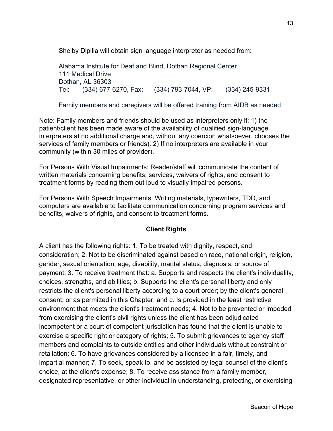Shelby Dipilla will obtain sign language interpreter as needed from:

Alabama Institute for Deaf and Blind, Dothan Regional Center 111 Medical Drive Dothan, AL 36303 Tel: (334) 677-6270, Fax: (334) 793-7044, VP: (334) 245-9331

Family members and caregivers will be offered training from AIDB as needed.

Note: Family members and friends should be used as interpreters only if: 1) the patient/client has been made aware of the availability of qualified sign-language interpreters at no additional charge and, without any coercion whatsoever, chooses the services of family members or friends). 2) If no interpreters are available in your community (within 30 miles of provider).

For Persons With Visual Impairments: Reader/staff will communicate the content of written materials concerning benefits, services, waivers of rights, and consent to treatment forms by reading them out loud to visually impaired persons.

For Persons With Speech Impairments: Writing materials, typewriters, TDD, and computers are available to facilitate communication concerning program services and benefits, waivers of rights, and consent to treatment forms.

## **Client Rights**

A client has the following rights: 1. To be treated with dignity, respect, and consideration; 2. Not to be discriminated against based on race, national origin, religion, gender, sexual orientation, age, disability, marital status, diagnosis, or source of payment; 3. To receive treatment that: a. Supports and respects the client's individuality, choices, strengths, and abilities; b. Supports the client's personal liberty and only restricts the client's personal liberty according to a court order; by the client's general consent; or as permitted in this Chapter; and c. Is provided in the least restrictive environment that meets the client's treatment needs; 4. Not to be prevented or impeded from exercising the client's civil rights unless the client has been adjudicated incompetent or a court of competent jurisdiction has found that the client is unable to exercise a specific right or category of rights; 5. To submit grievances to agency staff members and complaints to outside entities and other individuals without constraint or retaliation; 6. To have grievances considered by a licensee in a fair, timely, and impartial manner; 7. To seek, speak to, and be assisted by legal counsel of the client's choice, at the client's expense; 8. To receive assistance from a family member, designated representative, or other individual in understanding, protecting, or exercising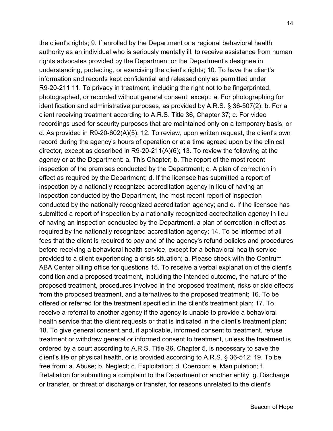the client's rights; 9. If enrolled by the Department or a regional behavioral health authority as an individual who is seriously mentally ill, to receive assistance from human rights advocates provided by the Department or the Department's designee in understanding, protecting, or exercising the client's rights; 10. To have the client's information and records kept confidential and released only as permitted under R9-20-211 11. To privacy in treatment, including the right not to be fingerprinted, photographed, or recorded without general consent, except: a. For photographing for identification and administrative purposes, as provided by A.R.S. § 36-507(2); b. For a client receiving treatment according to A.R.S. Title 36, Chapter 37; c. For video recordings used for security purposes that are maintained only on a temporary basis; or d. As provided in R9-20-602(A)(5); 12. To review, upon written request, the client's own record during the agency's hours of operation or at a time agreed upon by the clinical director, except as described in R9-20-211(A)(6); 13. To review the following at the agency or at the Department: a. This Chapter; b. The report of the most recent inspection of the premises conducted by the Department; c. A plan of correction in effect as required by the Department; d. If the licensee has submitted a report of inspection by a nationally recognized accreditation agency in lieu of having an inspection conducted by the Department, the most recent report of inspection conducted by the nationally recognized accreditation agency; and e. If the licensee has submitted a report of inspection by a nationally recognized accreditation agency in lieu of having an inspection conducted by the Department, a plan of correction in effect as required by the nationally recognized accreditation agency; 14. To be informed of all fees that the client is required to pay and of the agency's refund policies and procedures before receiving a behavioral health service, except for a behavioral health service provided to a client experiencing a crisis situation; a. Please check with the Centrum ABA Center billing office for questions 15. To receive a verbal explanation of the client's condition and a proposed treatment, including the intended outcome, the nature of the proposed treatment, procedures involved in the proposed treatment, risks or side effects from the proposed treatment, and alternatives to the proposed treatment; 16. To be offered or referred for the treatment specified in the client's treatment plan; 17. To receive a referral to another agency if the agency is unable to provide a behavioral health service that the client requests or that is indicated in the client's treatment plan; 18. To give general consent and, if applicable, informed consent to treatment, refuse treatment or withdraw general or informed consent to treatment, unless the treatment is ordered by a court according to A.R.S. Title 36, Chapter 5, is necessary to save the client's life or physical health, or is provided according to A.R.S. § 36-512; 19. To be free from: a. Abuse; b. Neglect; c. Exploitation; d. Coercion; e. Manipulation; f. Retaliation for submitting a complaint to the Department or another entity; g. Discharge or transfer, or threat of discharge or transfer, for reasons unrelated to the client's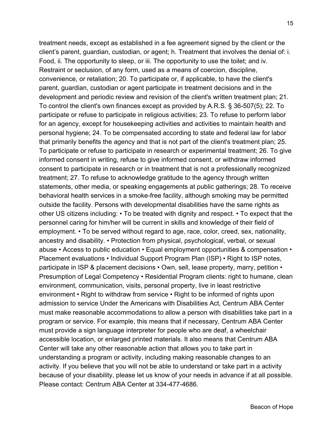treatment needs, except as established in a fee agreement signed by the client or the client's parent, guardian, custodian, or agent; h. Treatment that involves the denial of: i. Food, ii. The opportunity to sleep, or iii. The opportunity to use the toilet; and iv. Restraint or seclusion, of any form, used as a means of coercion, discipline, convenience, or retaliation; 20. To participate or, if applicable, to have the client's parent, guardian, custodian or agent participate in treatment decisions and in the development and periodic review and revision of the client's written treatment plan; 21. To control the client's own finances except as provided by A.R.S. § 36-507(5); 22. To participate or refuse to participate in religious activities; 23. To refuse to perform labor for an agency, except for housekeeping activities and activities to maintain health and personal hygiene; 24. To be compensated according to state and federal law for labor that primarily benefits the agency and that is not part of the client's treatment plan; 25. To participate or refuse to participate in research or experimental treatment; 26. To give informed consent in writing, refuse to give informed consent, or withdraw informed consent to participate in research or in treatment that is not a professionally recognized treatment; 27. To refuse to acknowledge gratitude to the agency through written statements, other media, or speaking engagements at public gatherings; 28. To receive behavioral health services in a smoke-free facility, although smoking may be permitted outside the facility. Persons with developmental disabilities have the same rights as other US citizens including: • To be treated with dignity and respect. • To expect that the personnel caring for him/her will be current in skills and knowledge of their field of employment. • To be served without regard to age, race, color, creed, sex, nationality, ancestry and disability. • Protection from physical, psychological, verbal, or sexual abuse • Access to public education • Equal employment opportunities & compensation • Placement evaluations • Individual Support Program Plan (ISP) • Right to ISP notes, participate in ISP & placement decisions • Own, sell, lease property, marry, petition • Presumption of Legal Competency • Residential Program clients: right to humane, clean environment, communication, visits, personal property, live in least restrictive environment • Right to withdraw from service • Right to be informed of rights upon admission to service Under the Americans with Disabilities Act, Centrum ABA Center must make reasonable accommodations to allow a person with disabilities take part in a program or service. For example, this means that if necessary, Centrum ABA Center must provide a sign language interpreter for people who are deaf, a wheelchair accessible location, or enlarged printed materials. It also means that Centrum ABA Center will take any other reasonable action that allows you to take part in understanding a program or activity, including making reasonable changes to an activity. If you believe that you will not be able to understand or take part in a activity because of your disability, please let us know of your needs in advance if at all possible. Please contact: Centrum ABA Center at 334-477-4686.